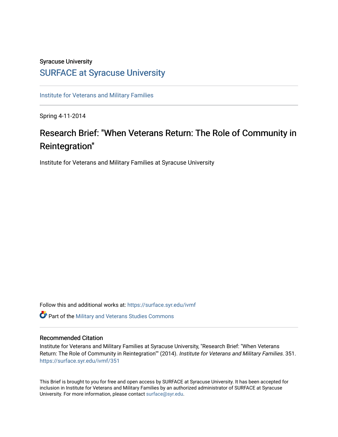# Syracuse University [SURFACE at Syracuse University](https://surface.syr.edu/)

[Institute for Veterans and Military Families](https://surface.syr.edu/ivmf)

Spring 4-11-2014

# Research Brief: "When Veterans Return: The Role of Community in Reintegration"

Institute for Veterans and Military Families at Syracuse University

Follow this and additional works at: [https://surface.syr.edu/ivmf](https://surface.syr.edu/ivmf?utm_source=surface.syr.edu%2Fivmf%2F351&utm_medium=PDF&utm_campaign=PDFCoverPages) 

**C** Part of the [Military and Veterans Studies Commons](http://network.bepress.com/hgg/discipline/396?utm_source=surface.syr.edu%2Fivmf%2F351&utm_medium=PDF&utm_campaign=PDFCoverPages)

## Recommended Citation

Institute for Veterans and Military Families at Syracuse University, "Research Brief: "When Veterans Return: The Role of Community in Reintegration"" (2014). Institute for Veterans and Military Families. 351. [https://surface.syr.edu/ivmf/351](https://surface.syr.edu/ivmf/351?utm_source=surface.syr.edu%2Fivmf%2F351&utm_medium=PDF&utm_campaign=PDFCoverPages) 

This Brief is brought to you for free and open access by SURFACE at Syracuse University. It has been accepted for inclusion in Institute for Veterans and Military Families by an authorized administrator of SURFACE at Syracuse University. For more information, please contact [surface@syr.edu.](mailto:surface@syr.edu)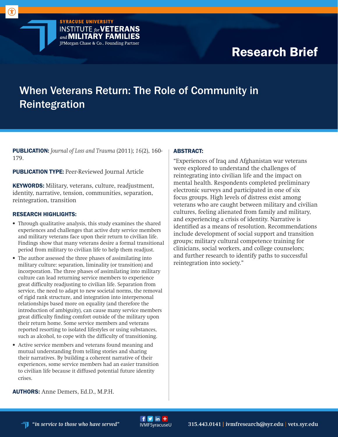Research Brief

# When Veterans Return: The Role of Community in Reintegration

 $f y$  in  $+$ 

PUBLICATION: *Journal of Loss and Trauma* (2011); *16*(2), 160- 179.

**SYRACUSE UNIVERSITY** 

**INSTITUTE for VETERANS** and **MILITARY FAMILIES** JPMorgan Chase & Co., Founding Partner

**PUBLICATION TYPE:** Peer-Reviewed Journal Article

KEYWORDS: Military, veterans, culture, readjustment, identity, narrative, tension, communities, separation, reintegration, transition

## RESEARCH HIGHLIGHTS:

- Through qualitative analysis, this study examines the shared experiences and challenges that active duty service members and military veterans face upon their return to civilian life. Findings show that many veterans desire a formal transitional period from military to civilian life to help them readjust.
- The author assessed the three phases of assimilating into military culture: separation, liminality (or transition) and incorporation. The three phases of assimilating into military culture can lead returning service members to experience great difficulty readjusting to civilian life. Separation from service, the need to adapt to new societal norms, the removal of rigid rank structure, and integration into interpersonal relationships based more on equality (and therefore the introduction of ambiguity), can cause many service members great difficulty finding comfort outside of the military upon their return home. Some service members and veterans reported resorting to isolated lifestyles or using substances, such as alcohol, to cope with the difficulty of transitioning.
- Active service members and veterans found meaning and mutual understanding from telling stories and sharing their narratives. By building a coherent narrative of their experiences, some service members had an easier transition to civilian life because it diffused potential future identity crises.

#### ABSTRACT:

"Experiences of Iraq and Afghanistan war veterans were explored to understand the challenges of reintegrating into civilian life and the impact on mental health. Respondents completed preliminary electronic surveys and participated in one of six focus groups. High levels of distress exist among veterans who are caught between military and civilian cultures, feeling alienated from family and military, and experiencing a crisis of identity. Narrative is identified as a means of resolution. Recommendations include development of social support and transition groups; military cultural competence training for clinicians, social workers, and college counselors; and further research to identify paths to successful reintegration into society."

AUTHORS: Anne Demers, Ed.D., M.P.H.